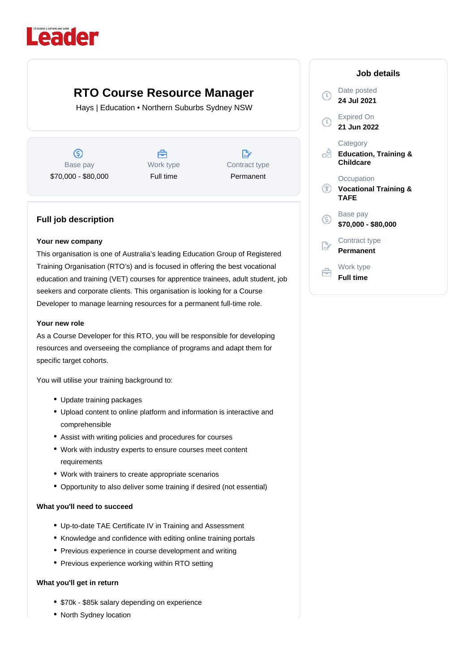# Leader

## **RTO Course Resource Manager**

Hays | Education • Northern Suburbs Sydney NSW

 $\circledS$ Base pay \$70,000 - \$80,000



 $\mathbb{R}^n$ Contract type Permanent

### **Full job description**

#### **Your new company**

This organisation is one of Australia's leading Education Group of Registered Training Organisation (RTO's) and is focused in offering the best vocational education and training (VET) courses for apprentice trainees, adult student, job seekers and corporate clients. This organisation is looking for a Course Developer to manage learning resources for a permanent full-time role.

#### **Your new role**

As a Course Developer for this RTO, you will be responsible for developing resources and overseeing the compliance of programs and adapt them for specific target cohorts.

You will utilise your training background to:

- Update training packages
- Upload content to online platform and information is interactive and comprehensible
- Assist with writing policies and procedures for courses
- Work with industry experts to ensure courses meet content requirements
- Work with trainers to create appropriate scenarios
- Opportunity to also deliver some training if desired (not essential)

#### **What you'll need to succeed**

- Up-to-date TAE Certificate IV in Training and Assessment
- Knowledge and confidence with editing online training portals
- Previous experience in course development and writing
- Previous experience working within RTO setting

#### **What you'll get in return**

- \$70k \$85k salary depending on experience
- North Sydney location

|                                    | Job details                                                      |
|------------------------------------|------------------------------------------------------------------|
| $\left(\overline{\text{C}}\right)$ | Date posted<br>24 Jul 2021                                       |
| $\mathbb O$                        | <b>Expired On</b><br>21 Jun 2022                                 |
| oĦ                                 | Category<br><b>Education, Training &amp;</b><br><b>Childcare</b> |
| Œ                                  | Occupation<br><b>Vocational Training &amp;</b><br>TAFE           |
| ග                                  | Base pay<br>\$70,000 - \$80,000                                  |
|                                    | Contract type<br>Permanent                                       |
|                                    | Work type<br>Full time                                           |